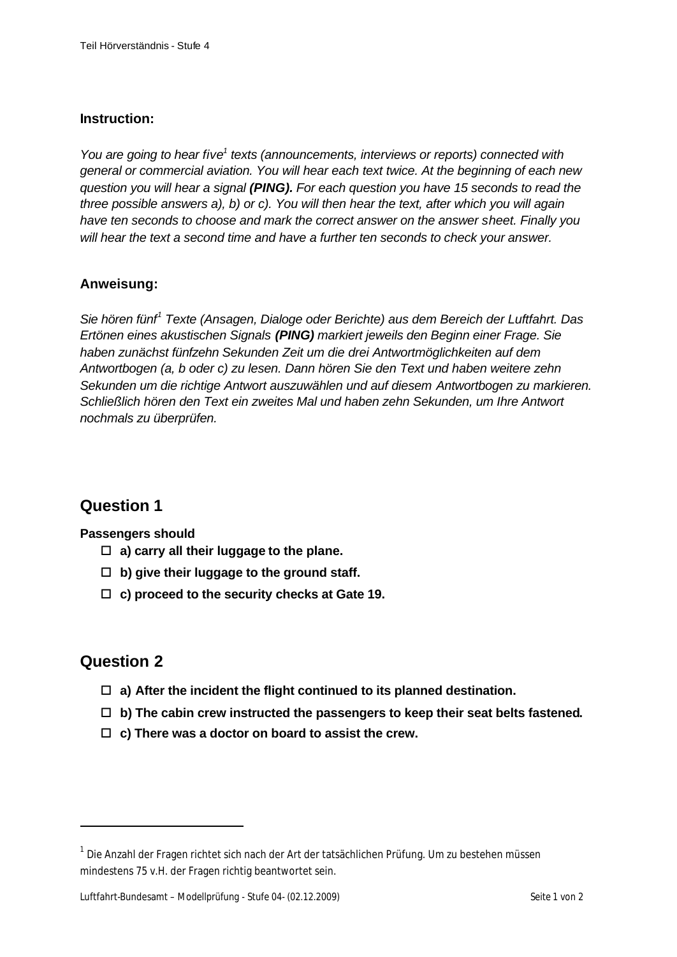#### **Instruction:**

*You are going to hear five<sup>1</sup> texts (announcements, interviews or reports) connected with general or commercial aviation. You will hear each text twice. At the beginning of each new question you will hear a signal (PING). For each question you have 15 seconds to read the three possible answers a), b) or c). You will then hear the text, after which you will again have ten seconds to choose and mark the correct answer on the answer sheet. Finally you will hear the text a second time and have a further ten seconds to check your answer.* 

#### **Anweisung:**

*Sie hören fünf<sup>1</sup> Texte (Ansagen, Dialoge oder Berichte) aus dem Bereich der Luftfahrt. Das Ertönen eines akustischen Signals (PING) markiert jeweils den Beginn einer Frage. Sie haben zunächst fünfzehn Sekunden Zeit um die drei Antwortmöglichkeiten auf dem Antwortbogen (a, b oder c) zu lesen. Dann hören Sie den Text und haben weitere zehn Sekunden um die richtige Antwort auszuwählen und auf diesem Antwortbogen zu markieren. Schließlich hören den Text ein zweites Mal und haben zehn Sekunden, um Ihre Antwort nochmals zu überprüfen.*

### **Question 1**

**Passengers should**

- $\Box$  a) carry all their luggage to the plane.
- $\Box$  b) give their luggage to the ground staff.
- □ c) proceed to the security checks at Gate 19.

### **Question 2**

l

- $\Box$  a) After the incident the flight continued to its planned destination.
- $\Box$  b) The cabin crew instructed the passengers to keep their seat belts fastened.
- $\Box$  c) There was a doctor on board to assist the crew.

 $^{\text{1}}$  Die Anzahl der Fragen richtet sich nach der Art der tatsächlichen Prüfung. Um zu bestehen müssenmindestens 75 v.H. der Fragen richtig beantwortet sein.